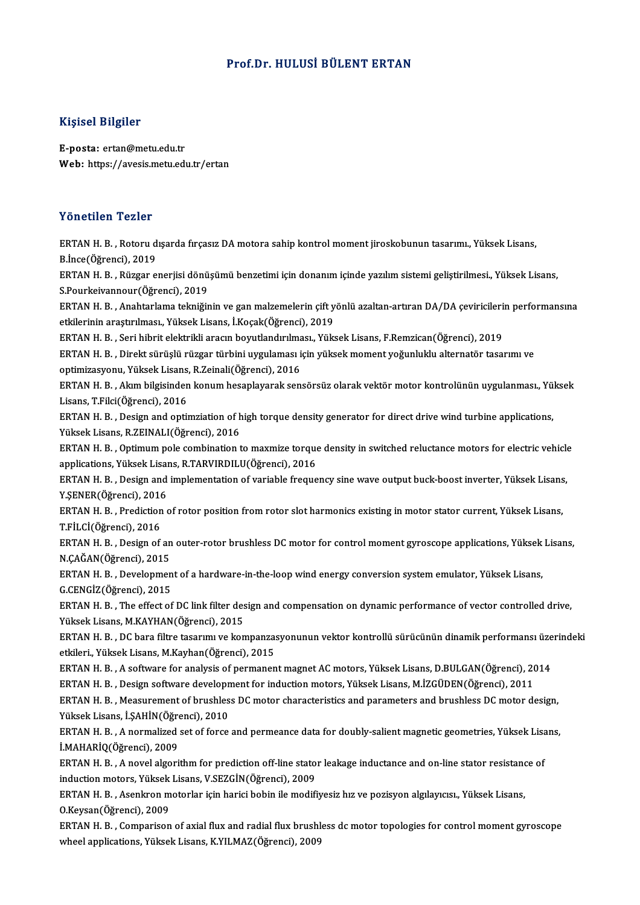#### Prof.Dr.HULUSİ BÜLENT ERTAN

#### Kişisel Bilgiler

E-posta: ertan@metu.edu.tr Web: https://avesis.metu.edu.tr/ertan

#### Yönetilen Tezler

Yönetilen Tezler<br>ERTAN H. B. , Rotoru dışarda fırçasız DA motora sahip kontrol moment jiroskobunun tasarımı., Yüksek Lisans,<br>B.İnce(Öğrensi), 2019 ERTAN H. B., Rotoru d<br>B.İnce(Öğrenci), 2019<br>EPTAN H. B., Büzgar Q ERTAN H. B. , Rotoru dışarda fırçasız DA motora sahip kontrol moment jiroskobunun tasarımı., Yüksek Lisans,<br>B.İnce(Öğrenci), 2019<br>ERTAN H. B. , Rüzgar enerjisi dönüşümü benzetimi için donanım içinde yazılım sistemi gelişti B.İnce(Öğrenci), 2019<br>ERTAN H. B. , Rüzgar enerjisi dönü<br>S.Pourkeivannour(Öğrenci), 2019<br>EPTAN H. B. , Anahtarlama telmiği: ERTAN H. B. , Rüzgar enerjisi dönüşümü benzetimi için donanım içinde yazılım sistemi geliştirilmesi., Yüksek Lisans,<br>S.Pourkeivannour(Öğrenci), 2019<br>ERTAN H. B. , Anahtarlama tekniğinin ve gan malzemelerin çift yönlü azalt S.Pourkeivannour(Öğrenci), 2019<br>ERTAN H. B. , Anahtarlama tekniğinin ve gan malzemelerin çift y<br>etkilerinin araştırılması., Yüksek Lisans, İ.Koçak(Öğrenci), 2019<br>ERTAN H. B., Sori bibrit elektrikli arasın beyutlandırılması ERTAN H. B. , Anahtarlama tekniğinin ve gan malzemelerin çift yönlü azaltan-artıran DA/DA çeviricileri:<br>etkilerinin araştırılması., Yüksek Lisans, İ.Koçak(Öğrenci), 2019<br>ERTAN H. B. , Seri hibrit elektrikli aracın boyutlan etkilerinin araştırılması., Yüksek Lisans, İ.Koçak(Öğrenci), 2019<br>ERTAN H. B. , Seri hibrit elektrikli aracın boyutlandırılması., Yüksek Lisans, F.Remzican(Öğrenci), 2019<br>ERTAN H. B. , Direkt sürüşlü rüzgar türbini uygulam ERTAN H. B. , Seri hibrit elektrikli aracın boyutlandırılma<br>ERTAN H. B. , Direkt sürüşlü rüzgar türbini uygulaması i<br>optimizasyonu, Yüksek Lisans, R.Zeinali(Öğrenci), 2016<br>ERTAN H. B. , Alum bilgisindən konum bəsənləyənlə ERTAN H. B. , Akım bilgisinden konum hesaplayarak sensörsüz olarak vektör motor kontrolünün uygulanması., Yüksek<br>Lisans, T.Filci(Öğrenci), 2016 optimizasyonu, Yüksek Lisans,<br>ERTAN H. B. , Akım bilgisinden<br>Lisans, T.Filci(Öğrenci), 2016<br>ERTAN H. B. , Desirn and anti ERTAN H. B. , Akım bilgisinden konum hesaplayarak sensörsüz olarak vektör motor kontrolünün uygulanması., Yü.<br>Lisans, T.Filci(Öğrenci), 2016<br>ERTAN H. B. , Design and optimziation of high torque density generator for direct Yüksek Lisans, R.ZEINALI(Öğrenci), 2016 ERTAN H. B. , Design and optimziation of high torque density generator for direct drive wind turbine applications,<br>Yüksek Lisans, R.ZEINALI(Öğrenci), 2016<br>ERTAN H. B. , Optimum pole combination to maxmize torque density in ERTAN H. B. , Optimum pole combination to maxmize torque density in switched reluctance motors for electric vehicle<br>applications, Yüksek Lisans, R.TARVIRDILU(Öğrenci), 2016 ERTAN H. B. , Optimum pole combination to maxmize torque density in switched reluctance motors for electric vehicle<br>applications, Yüksek Lisans, R.TARVIRDILU(Öğrenci), 2016<br>ERTAN H. B. , Design and implementation of variab applications, Yüksek Lisai<br>ERTAN H. B. , Design and<br>Y.ŞENER(Öğrenci), 2016<br>EPTAN H. B. , Prodiction ERTAN H. B. , Design and implementation of variable frequency sine wave output buck-boost inverter, Yüksek Lisans<br>Y.ŞENER(Öğrenci), 2016<br>ERTAN H. B. , Prediction of rotor position from rotor slot harmonics existing in moto Y.ŞENER(Öğrenci), 2016<br>ERTAN H. B. , Prediction<br>T.FİLCİ(Öğrenci), 2016<br>EPTAN H. B. Design of ERTAN H. B. , Prediction of rotor position from rotor slot harmonics existing in motor stator current, Yüksek Lisans,<br>T.FİLCİ(Öğrenci), 2016<br>ERTAN H. B. , Design of an outer-rotor brushless DC motor for control moment gyro T.FİLCİ(Öğrenci), 2016<br>ERTAN H. B. , Design of an outer-rotor brushless DC motor for control moment gyroscope applications, Yüksek Lisans,<br>N.ÇAĞAN(Öğrenci), 2015 ERTAN H. B. , Design of an outer-rotor brushless DC motor for control moment gyroscope applications, Yüksek<br>N.ÇAĞAN(Öğrenci), 2015<br>ERTAN H. B. , Development of a hardware-in-the-loop wind energy conversion system emulator, N.ÇAĞAN(Öğrenci), 2015<br>ERTAN H. B. , Developmen<br>G.CENGİZ(Öğrenci), 2015<br>EPTAN H. B. - The effect of ERTAN H. B. , Development of a hardware-in-the-loop wind energy conversion system emulator, Yüksek Lisans,<br>G.CENGİZ(Öğrenci), 2015<br>ERTAN H. B. , The effect of DC link filter design and compensation on dynamic performance o G.CENGİZ(Öğrenci), 2015<br>ERTAN H. B. , The effect of DC link filter des<br>Yüksek Lisans, M.KAYHAN(Öğrenci), 2015<br>ERTAN H. B. . DC bara filme tasarımı ve kan ERTAN H. B. , The effect of DC link filter design and compensation on dynamic performance of vector controlled drive,<br>Yüksek Lisans, M.KAYHAN(Öğrenci), 2015<br>ERTAN H. B. , DC bara filtre tasarımı ve kompanzasyonunun vektor Yüksek Lisans, M.KAYHAN(Öğrenci), 2015<br>ERTAN H. B. , DC bara filtre tasarımı ve kompanzas<br>etkileri., Yüksek Lisans, M.Kayhan(Öğrenci), 2015<br>ERTAN H. B. , A seftuare for analysis of nermanen ERTAN H. B. , DC bara filtre tasarımı ve kompanzasyonunun vektor kontrollü sürücünün dinamik performansı üze<br>etkileri., Yüksek Lisans, M.Kayhan(Öğrenci), 2015<br>ERTAN H. B. , A software for analysis of permanent magnet AC mo etkileri., Yüksek Lisans, M.Kayhan(Öğrenci), 2015<br>ERTAN H. B. , A software for analysis of permanent magnet AC motors, Yüksek Lisans, D.BULGAN(Öğrenci), 2014<br>ERTAN H. B. , Design software development for induction motors, ERTAN H. B. , A software for analysis of permanent magnet AC motors, Yüksek Lisans, D.BULGAN(Öğrenci), 2014<br>ERTAN H. B. , Design software development for induction motors, Yüksek Lisans, M.İZGÜDEN(Öğrenci), 2011<br>ERTAN H. B ERTAN H. B. , Design software developn<br>ERTAN H. B. , Measurement of brushles<br>Yüksek Lisans, İ.ŞAHİN(Öğrenci), 2010<br>EPTAN H. B. , A normalized set of forse ERTAN H. B. , Measurement of brushless DC motor characteristics and parameters and brushless DC motor design,<br>Yüksek Lisans, İ.ŞAHİN(Öğrenci), 2010<br>ERTAN H. B. , A normalized set of force and permeance data for doubly-sali Yüksek Lisans, İ.ŞAHİN(Öğrenci), 2010<br>ERTAN H. B. , A normalized set of force<br>İ.MAHARİQ(Öğrenci), 2009 ERTAN H. B. , A normalized set of force and permeance data for doubly-salient magnetic geometries, Yüksek Lisans,<br>i.MAHARİQ(Öğrenci), 2009<br>ERTAN H. B. , A novel algorithm for prediction off-line stator leakage inductance a ERTAN H. B., A novel algorithm for prediction off-line stator leakage inductance and on-line stator resistance of ERTAN H. B. , A novel algorithm for prediction off-line stator leakage inductance and on-line stator resistand<br>induction motors, Yüksek Lisans, V.SEZGİN(Öğrenci), 2009<br>ERTAN H. B. , Asenkron motorlar için harici bobin ile induction motors, Yüksek<br>ERTAN H. B. , Asenkron m<br>O.Keysan(Öğrenci), 2009<br>ERTAN H. B. , Comparison ERTAN H. B. , Asenkron motorlar için harici bobin ile modifiyesiz hız ve pozisyon algılayıcısı., Yüksek Lisans,<br>O.Keysan(Öğrenci), 2009<br>ERTAN H. B. , Comparison of axial flux and radial flux brushless dc motor topologies f O.Keysan(Öğrenci), 2009<br>ERTAN H. B. , Comparison of axial flux and radial flux brushless dc motor topologies for control moment gyroscope<br>wheel applications, Yüksek Lisans, K.YILMAZ(Öğrenci), 2009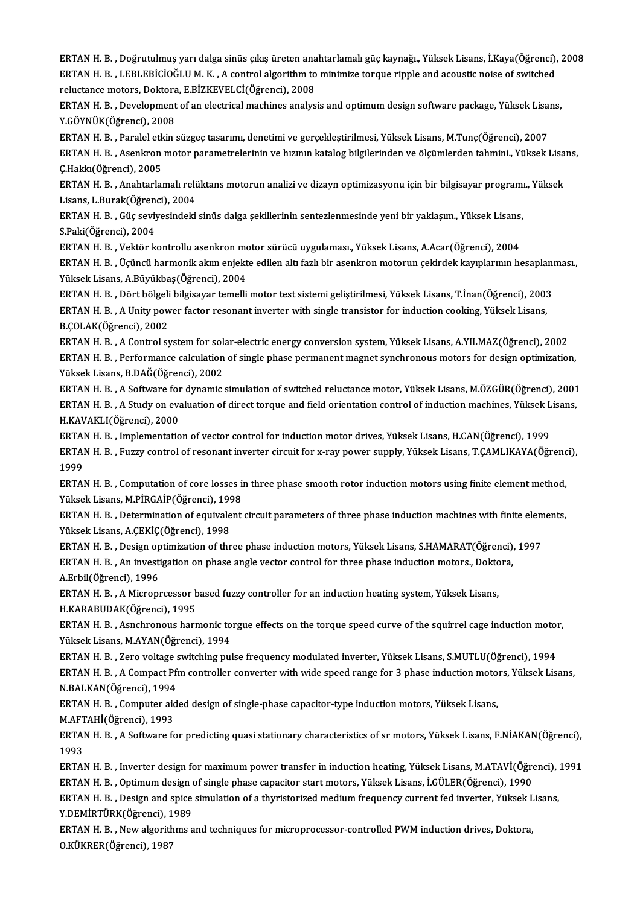ERTANH.B. ,Doğrutulmuş yarıdalga sinüs çıkışüretenanahtarlamalıgüçkaynağı.,YüksekLisans, İ.Kaya(Öğrenci),2008 ERTAN H. B. , Doğrutulmuş yarı dalga sinüs çıkış üreten anahtarlamalı güç kaynağı., Yüksek Lisans, İ.Kaya(Öğrenci),<br>ERTAN H. B. , LEBLEBİCİOĞLU M. K. , A control algorithm to minimize torque ripple and acoustic noise of sw ERTAN H. B. , Doğrutulmuş yarı dalga sinüs çıkış üreten ana<br>ERTAN H. B. , LEBLEBİCİOĞLU M. K. , A control algorithm to<br>reluctance motors, Doktora, E.BİZKEVELCİ(Öğrenci), 2008<br>ERTAN H. B. , Davelanment ef an elestrisel mesh ERTAN H. B. , LEBLEBICIOĞLU M. K. , A control algorithm to minimize torque ripple and acoustic noise of switched<br>reluctance motors, Doktora, E.BIZKEVELCI(Öğrenci), 2008<br>ERTAN H. B. , Development of an electrical machines a

reluctance motors, Doktora<br>ERTAN H. B. , Development<br>Y.GÖYNÜK(Öğrenci), 2008<br>EPTAN H. B. , Paralal etkin ERTAN H. B. , Development of an electrical machines analysis and optimum design software package, Yüksek Lisa<br>Y.GÖYNÜK(Öğrenci), 2008<br>ERTAN H. B. , Paralel etkin süzgeç tasarımı, denetimi ve gerçekleştirilmesi, Yüksek Lisa

Y.GÖYNÜK(Öğrenci), 2008<br>ERTAN H. B. , Paralel etkin süzgeç tasarımı, denetimi ve gerçekleştirilmesi, Yüksek Lisans, M.Tunç(Öğrenci), 2007<br>ERTAN H. B. , Asenkron motor parametrelerinin ve hızının katalog bilgilerinden ve öl ERTAN H. B. , Paralel etk<br>ERTAN H. B. , Asenkron<br>Ç.Hakkı(Öğrenci), 2005<br>EPTAN H. B. , Anabtarlaı ERTAN H. B. , Asenkron motor parametrelerinin ve hızının katalog bilgilerinden ve ölçümlerden tahmini., Yüksek Lisa<br>Ç.Hakkı(Öğrenci), 2005<br>ERTAN H. B. , Anahtarlamalı relüktans motorun analizi ve dizayn optimizasyonu için

Ç.Hakkı(Öğrenci), 2005<br>ERTAN H. B. , Anahtarlamalı relü<br>Lisans, L.Burak(Öğrenci), 2004<br>EPTAN H. B. , Cüs seviyesindeki ERTAN H. B. , Anahtarlamalı relüktans motorun analizi ve dizayn optimizasyonu için bir bilgisayar programı<br>Lisans, L.Burak(Öğrenci), 2004<br>ERTAN H. B. , Güç seviyesindeki sinüs dalga şekillerinin sentezlenmesinde yeni bir y

Lisans, L.Burak(Öğrenci), 2004<br>ERTAN H. B. , Güç seviyesindeki sinüs dalga şekillerinin sentezlenmesinde yeni bir yaklaşım., Yüksek Lisans<br>S.Paki(Öğrenci), 2004<br>ERTAN H. B. , Vektör kontrollu asenkron motor sürücü uygulama ERTAN H.B., Güç seviyesindeki sinüs dalga şekillerinin sentezlenmesinde yeni bir yaklaşım., Yüksek Lisans,

S.Paki(Öğrenci), 2004<br>ERTAN H. B. , Vektör kontrollu asenkron motor sürücü uygulaması., Yüksek Lisans, A.Acar(Öğrenci), 2004<br>ERTAN H. B. , Üçüncü harmonik akım enjekte edilen altı fazlı bir asenkron motorun çekirdek kayıpl ERTAN H. B. , Vektör kontrollu asenkron me<br>ERTAN H. B. , Üçüncü harmonik akım enjekt<br>Yüksek Lisans, A.Büyükbaş(Öğrenci), 2004<br>ERTAN H. B. , Dört bölgeli bilgiseyen temelli ERTAN H. B. , Üçüncü harmonik akım enjekte edilen altı fazlı bir asenkron motorun çekirdek kayıplarının hesaplanı<br>Yüksek Lisans, A.Büyükbaş(Öğrenci), 2004<br>ERTAN H. B. , Dört bölgeli bilgisayar temelli motor test sistemi ge

Yüksek Lisans, A.Büyükbaş(Öğrenci), 2004<br>ERTAN H. B. , Dört bölgeli bilgisayar temelli motor test sistemi geliştirilmesi, Yüksek Lisans, T.İnan(Öğrenci), 2003<br>ERTAN H. B. , A Unity power factor resonant inverter with singl ERTAN H. B. , Dört bölgeli<br>ERTAN H. B. , A Unity pow<br>B.ÇOLAK(Öğrenci), 2002<br>ERTAN H. B. A Control S ERTAN H. B. , A Unity power factor resonant inverter with single transistor for induction cooking, Yüksek Lisans,<br>B.ÇOLAK(Öğrenci), 2002<br>ERTAN H. B. , A Control system for solar-electric energy conversion system, Yüksek Li

B.ÇOLAK(Öğrenci), 2002<br>ERTAN H. B. , A Control system for solar-electric energy conversion system, Yüksek Lisans, A.YILMAZ(Öğrenci), 2002<br>ERTAN H. B. , Performance calculation of single phase permanent magnet synchronous m ERTAN H. B. , A Control system for sol:<br>ERTAN H. B. , Performance calculation<br>Yüksek Lisans, B.DAĞ(Öğrenci), 2002<br>EPTAN H. B. , A Softunre for dunamic ERTAN H. B. , Performance calculation of single phase permanent magnet synchronous motors for design optimization,<br>Yüksek Lisans, B.DAĞ(Öğrenci), 2002<br>ERTAN H. B. , A Software for dynamic simulation of switched reluctance

Yüksek Lisans, B.DAĞ(Öğrenci), 2002<br>ERTAN H. B. , A Software for dynamic simulation of switched reluctance motor, Yüksek Lisans, M.ÖZGÜR(Öğrenci), 2001<br>ERTAN H. B. , A Study on evaluation of direct torque and field orienta ERTAN H. B. , A Software for<br>ERTAN H. B. , A Study on eva<br>H.KAVAKLI(Öğrenci), 2000<br>EPTAN H. P. - Implomentatio ERTAN H. B. , A Study on evaluation of direct torque and field orientation control of induction machines, Yüksek L<br>H.KAVAKLI(Öğrenci), 2000<br>ERTAN H. B. , Implementation of vector control for induction motor drives, Yüksek

H.KAVAKLI(Öğrenci), 2000<br>ERTAN H. B. , Implementation of vector control for induction motor drives, Yüksek Lisans, H.CAN(Öğrenci), 1999<br>ERTAN H. B. , Fuzzy control of resonant inverter circuit for x-ray power supply, Yükse ERTAN H. B. , Implementation of vector control for induction motor drives, Yüksek Lisans, H.CAN(Öğrenci), 1999<br>ERTAN H. B. , Fuzzy control of resonant inverter circuit for x-ray power supply, Yüksek Lisans, T.ÇAMLIKAYA(Öğr ERTAN H. B. , Fuzzy control of resonant inverter circuit for x-ray power supply, Yüksek Lisans, T.ÇAMLIKAYA(Öğrenc<br>1999<br>ERTAN H. B. , Computation of core losses in three phase smooth rotor induction motors using finite ele

1999<br>ERTAN H. B. , Computation of core losses in<br>Yüksek Lisans, M.PİRGAİP(Öğrenci), 1998<br>ERTAN H. B. , Determination of equivelent

ERTAN H.B. , Determination of equivalent circuit parameters of three phase induction machines with finite elements,<br>Yüksek Lisans, A.CEKİC(Öğrenci), 1998 Yüksek Lisans, M.PİRGAİP(Öğrenci), 199<br>ERTAN H. B. , Determination of equivale<br>Yüksek Lisans, A.ÇEKİÇ(Öğrenci), 1998<br>EPTAN H. B. , Desirn antimiration of thr ERTAN H. B. , Determination of equivalent circuit parameters of three phase induction machines with finite elem<br>Yüksek Lisans, A.ÇEKİÇ(Öğrenci), 1998<br>ERTAN H. B. , Design optimization of three phase induction motors, Yükse

Yüksek Lisans, A.ÇEKİÇ(Öğrenci), 1998<br>ERTAN H. B. , Design optimization of three phase induction motors, Yüksek Lisans, S.HAMARAT(Öğrenci),<br>ERTAN H. B. , An investigation on phase angle vector control for three phase induc ERTAN H. B. , Design op<br>ERTAN H. B. , An investi<br>A.Erbil(Öğrenci), 1996<br>EPTAN H. B. , A Misson

ERTAN H. B. , An investigation on phase angle vector control for three phase induction motors., Doktora,<br>A.Erbil(Öğrenci), 1996<br>ERTAN H. B. , A Microprcessor based fuzzy controller for an induction heating system, Yüksek L ERTAN H. B., A Microprcessor based fuzzy controller for an induction heating system, Yüksek Lisans, ERTAN H. B. , A Microprcessor based fuzzy controller for an induction heating system, Yüksek Lisans,<br>H.KARABUDAK(Öğrenci), 1995<br>ERTAN H. B. , Asnchronous harmonic torgue effects on the torque speed curve of the squirrel ca

Yüksek Lisans, M.AYAN(Öğrenci), 1994 ERTAN H. B. , Asnchronous harmonic torgue effects on the torque speed curve of the squirrel cage induction motol<br>Yüksek Lisans, M.AYAN(Öğrenci), 1994<br>ERTAN H. B. , Zero voltage switching pulse frequency modulated inverter,

ERTAN H. B. , A Compact Pfm controller converter with wide speed range for 3 phase induction motors, Yüksek Lisans,<br>N.BALKAN(Öğrenci), 1994 ERTAN H. B., Zero voltage switching pulse frequency modulated inverter, Yüksek Lisans, S.MUTLU(Öğrenci), 1994 ERTAN H. B. , A Compact Pfm controller converter with wide speed range for 3 phase induction moto<br>N.BALKAN(Öğrenci), 1994<br>ERTAN H. B. , Computer aided design of single-phase capacitor-type induction motors, Yüksek Lisans,<br>

N.BALKAN(Öğrenci), 1994<br>ERTAN H. B. , Computer aid<br>M.AFTAHİ(Öğrenci), 1993<br>EPTAN H. P. - A Softvrare fe

ERTAN H. B. , Computer aided design of single-phase capacitor-type induction motors, Yüksek Lisans,<br>M.AFTAHİ(Öğrenci), 1993<br>ERTAN H. B. , A Software for predicting quasi stationary characteristics of sr motors, Yüksek Lisa M.AFTAHİ(Öğrenci), 1993<br>ERTAN H. B. , A Software for predicting quasi stationary characteristics of sr motors, Yüksek Lisans, F.NİAKAN(Öğrenci),<br>1993 ERTAN H. B. , A Software for predicting quasi stationary characteristics of sr motors, Yüksek Lisans, F.NİAKAN(Öğrenci),<br>1993<br>ERTAN H. B. , Inverter design for maximum power transfer in induction heating, Yüksek Lisans, M.

1993<br>ERTAN H. B. , Inverter design for maximum power transfer in induction heating, Yüksek Lisans, M.ATAVİ(Öğre<br>ERTAN H. B. , Optimum design of single phase capacitor start motors, Yüksek Lisans, İ.GÜLER(Öğrenci), 1990<br>ERT ERTAN H. B. , Inverter design for maximum power transfer in induction heating, Yüksek Lisans, M.ATAVİ(Öğrenci),<br>ERTAN H. B. , Optimum design of single phase capacitor start motors, Yüksek Lisans, İ.GÜLER(Öğrenci), 1990<br>ERT

ERTAN H. B. , Optimum design (<br>ERTAN H. B. , Design and spice<br>Y.DEMİRTÜRK(Öğrenci), 1989<br>ERTAN H. B. New alsorithmas ERTAN H. B. , Design and spice simulation of a thyristorized medium frequency current fed inverter, Yüksek L<br>Y.DEMİRTÜRK(Öğrenci), 1989<br>ERTAN H. B. , New algorithms and techniques for microprocessor-controlled PWM inductio

Y.DEMİRTÜRK(Öğrenci), 1989<br>ERTAN H. B. , New algorithms and techniques for microprocessor-controlled PWM induction drives, Doktora,<br>O.KÜKRER(Öğrenci), 1987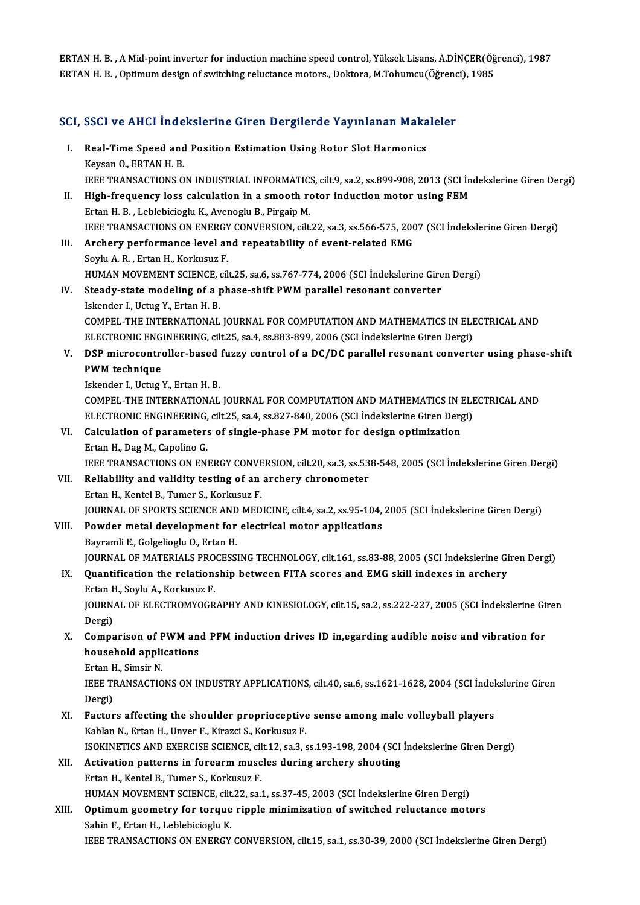ERTAN H. B. , A Mid-point inverter for induction machine speed control, Yüksek Lisans, A.DİNÇER(Öğrenci), 1987<br>ERTAN H. B. , Ontimum design of suitsbing reluctanse meters, Deltans, M.Tebumay (Öğrenci), 1985 ERTAN H. B. , A Mid-point inverter for induction machine speed control, Yüksek Lisans, A.DİNÇER(Öğ<br>ERTAN H. B. , Optimum design of switching reluctance motors., Doktora, M.Tohumcu(Öğrenci), 1985

# ERTAN H. B. , Optimum design of switching reluctance motors., Doktora, M.Tonumcu(Ogrend<br>SCI, SSCI ve AHCI İndekslerine Giren Dergilerde Yayınlanan Makaleler

CI, SSCI ve AHCI İndekslerine Giren Dergilerde Yayınlanan Maka<br>I. Real-Time Speed and Position Estimation Using Rotor Slot Harmonics<br>Kovgan O. ERTAN H. B I. Real-Time Speed and Position Estimation Using Rotor Slot Harmonics<br>Keysan O., ERTAN H. B. Real-Time Speed and Position Estimation Using Rotor Slot Harmonics<br>Keysan O., ERTAN H. B.<br>IEEE TRANSACTIONS ON INDUSTRIAL INFORMATICS, cilt.9, sa.2, ss.899-908, 2013 (SCI İndekslerine Giren Dergi)<br>High frequengy loss calcu II. High-frequency loss calculation in a smooth rotor induction motor using FEM<br>Ertan H. B., Leblebicioglu K., Avenoglu B., Pirgaip M. IEEE TRANSACTIONS ON INDUSTRIAL INFORMATIC:<br>High-frequency loss calculation in a smooth referant H.B., Leblebicioglu K., Avenoglu B., Pirgaip M.<br>JEEE TRANSACTIONS ON ENERCY CONVERSION alt High-frequency loss calculation in a smooth rotor induction motor using FEM<br>Ertan H. B. , Leblebicioglu K., Avenoglu B., Pirgaip M.<br>IEEE TRANSACTIONS ON ENERGY CONVERSION, cilt.22, sa.3, ss.566-575, 2007 (SCI İndekslerine III. Archery performance level and repeatability of event-related EMG Sovlu A. R., Ertan H., Korkusuz F. **IEEE TRANSACTIONS ON ENERGY<br>Archery performance level ar<br>Soylu A. R. , Ertan H., Korkusuz F.<br>HUMAN MOVEMENT SCIENCE SU** Archery performance level and repeatability of event-related EMG<br>Soylu A. R. , Ertan H., Korkusuz F.<br>HUMAN MOVEMENT SCIENCE, cilt.25, sa.6, ss.767-774, 2006 (SCI İndekslerine Giren Dergi)<br>Steady state modeling of a phase s IV. Steady-state modeling of a phase-shift PWM parallel resonant converter<br>Iskender I., Uctug Y., Ertan H. B. HUMAN MOVEMENT SCIENCE, of<br>Steady-state modeling of a p<br>Iskender I., Uctug Y., Ertan H. B.<br>COMBEL THE INTERNATIONAL Steady-state modeling of a phase-shift PWM parallel resonant converter<br>Iskender I., Uctug Y., Ertan H. B.<br>COMPEL-THE INTERNATIONAL JOURNAL FOR COMPUTATION AND MATHEMATICS IN ELECTRICAL AND<br>ELECTRONIC ENCINEERING silt 25, s Iskender I., Uctug Y., Ertan H. B.<br>COMPEL-THE INTERNATIONAL JOURNAL FOR COMPUTATION AND MATHEMATICS IN ELI<br>ELECTRONIC ENGINEERING, cilt.25, sa.4, ss.883-899, 2006 (SCI İndekslerine Giren Dergi)<br>DSP misrosantrallar basad fu COMPEL-THE INTERNATIONAL JOURNAL FOR COMPUTATION AND MATHEMATICS IN ELECTRICAL AND<br>ELECTRONIC ENGINEERING, cilt.25, sa.4, ss.883-899, 2006 (SCI indekslerine Giren Dergi)<br>V. DSP microcontroller-based fuzzy control of a DC/D ELECTRONIC ENGINEERING, cilt.25, sa.4, ss.883-899, 2006 (SCI İndekslerine Giren Dergi)<br>DSP microcontroller-based fuzzy control of a DC/DC parallel resonant convert<br>PWM technique<br>Iskender I., Uctug Y., Ertan H. B. **DSP microcontroller-based<br>PWM technique<br>Iskender I., Uctug Y., Ertan H. B.<br>COMPEL THE INTERNATIONAL** COMPEL-THE INTERNATIONAL JOURNAL FOR COMPUTATION AND MATHEMATICS IN ELECTRICAL AND Iskender I., Uctug Y., Ertan H. B.<br>COMPEL-THE INTERNATIONAL JOURNAL FOR COMPUTATION AND MATHEMATICS IN ELI<br>ELECTRONIC ENGINEERING, cilt.25, sa.4, ss.827-840, 2006 (SCI İndekslerine Giren Dergi)<br>Calculation of paramatars of VI. Calculation of parameters of single-phase PM motor for design optimization<br>Ertan H., Dag M., Capolino G. ELECTRONIC ENGINEERING,<br>Calculation of parameter:<br>Ertan H., Dag M., Capolino G.<br>IEEE TRANSACTIONS ON ENI Calculation of parameters of single-phase PM motor for design optimization<br>Ertan H., Dag M., Capolino G.<br>IEEE TRANSACTIONS ON ENERGY CONVERSION, cilt.20, sa.3, ss.538-548, 2005 (SCI İndekslerine Giren Dergi)<br>Poliability an Ertan H., Dag M., Capolino G.<br>IEEE TRANSACTIONS ON ENERGY CONVERSION, cilt.20, sa.3, ss.53<br>VII. Reliability and validity testing of an archery chronometer<br>Frtan H. Kantal B. Tumar S. Karlnauz E. **IEEE TRANSACTIONS ON ENERGY CONVE**<br>**Reliability and validity testing of an<br>Ertan H., Kentel B., Tumer S., Korkusuz F.<br>JOUPMAL OF SPOPTS SCIENCE AND MED** Reliability and validity testing of an archery chronometer<br>Ertan H., Kentel B., Tumer S., Korkusuz F.<br>JOURNAL OF SPORTS SCIENCE AND MEDICINE, cilt.4, sa.2, ss.95-104, 2005 (SCI İndekslerine Giren Dergi)<br>Pourder metal devel Ertan H., Kentel B., Tumer S., Korkusuz F.<br>JOURNAL OF SPORTS SCIENCE AND MEDICINE, cilt.4, sa.2, ss.95-104,<br>VIII. Powder metal development for electrical motor applications<br>Bayramli E., Golgelioglu O., Ertan H. **JOURNAL OF SPORTS SCIENCE AND<br>Powder metal development for<br>Bayramli E., Golgelioglu O., Ertan H.<br>JOURNAL OE MATERIALS PROCESS** Powder metal development for electrical motor applications<br>Bayramli E., Golgelioglu O., Ertan H.<br>JOURNAL OF MATERIALS PROCESSING TECHNOLOGY, cilt.161, ss.83-88, 2005 (SCI İndekslerine Giren Dergi)<br>Quantification the relati IX. Quantification the relationship between FITA scores and EMG skill indexes in archery<br>Ertan H., Soylu A., Korkusuz F. **JOURNAL OF MATERIALS PRO<br>Quantification the relation:<br>Ertan H., Soylu A., Korkusuz F.<br>JOURNAL OF ELECTROMYOCR** Quantification the relationship between FITA scores and EMG skill indexes in archery<br>Ertan H., Soylu A., Korkusuz F.<br>JOURNAL OF ELECTROMYOGRAPHY AND KINESIOLOGY, cilt.15, sa.2, ss.222-227, 2005 (SCI İndekslerine Giren<br>Derg Ertan F<br>JOURN<br>Dergi)<br>Comna JOURNAL OF ELECTROMYOGRAPHY AND KINESIOLOGY, cilt.15, sa.2, ss.222-227, 2005 (SCI Indekslerine Gi<br>Dergi)<br>X. Comparison of PWM and PFM induction drives ID in,egarding audible noise and vibration for<br>household applications Dergi)<br>Comparison of PWM an<br>household applications<br>Ertan H. Simeir N **Comparison of F<br>household appli<br>Ertan H., Simsir N.**<br>IEEE TPANSACTIO household applications<br>Ertan H., Simsir N.<br>IEEE TRANSACTIONS ON INDUSTRY APPLICATIONS, cilt.40, sa.6, ss.1621-1628, 2004 (SCI İndekslerine Giren<br>Persi) Ertan F<br>IEEE TI<br>Dergi)<br>Eastar IEEE TRANSACTIONS ON INDUSTRY APPLICATIONS, cilt.40, sa.6, ss.1621-1628, 2004 (SCI indel<br>Dergi)<br>XI. Factors affecting the shoulder proprioceptive sense among male volleyball players<br>Kehlan N. Exten H. Unyor E. Kirazgi S. K Dergi)<br>Factors affecting the shoulder proprioceptive<br>Kablan N., Ertan H., Unver F., Kirazci S., Korkusuz F.<br>ISOKINETICS AND EXERCISE SCIENCE sit 12, ss 3, 4 Factors affecting the shoulder proprioceptive sense among male volleyball players<br>Kablan N., Ertan H., Unver F., Kirazci S., Korkusuz F.<br>ISOKINETICS AND EXERCISE SCIENCE, cilt.12, sa.3, ss.193-198, 2004 (SCI İndekslerine G Kablan N., Ertan H., Unver F., Kirazci S., Korkusuz F.<br>ISOKINETICS AND EXERCISE SCIENCE, cilt.12, sa.3, ss.193-198, 2004 (SCI<br>XII. Activation patterns in forearm muscles during archery shooting<br>Futan H. Kantal B. Tuman S. ISOKINETICS AND EXERCISE SCIENCE, cil<br>Activation patterns in forearm musc<br>Ertan H., Kentel B., Tumer S., Korkusuz F.<br>HUMAN MOVEMENT SCIENCE, silt 22, se i Activation patterns in forearm muscles during archery shooting<br>Ertan H., Kentel B., Tumer S., Korkusuz F.<br>HUMAN MOVEMENT SCIENCE, cilt.22, sa.1, ss.37-45, 2003 (SCI İndekslerine Giren Dergi)<br>Ontimum seemetru for tensue rin Ertan H., Kentel B., Tumer S., Korkusuz F.<br>HUMAN MOVEMENT SCIENCE, cilt.22, sa.1, ss.37-45, 2003 (SCI Indekslerine Giren Dergi)<br>XIII. Optimum geometry for torque ripple minimization of switched reluctance motors<br>Sahin F., HUMAN MOVEMENT SCIENCE, cilt<br>**Optimum geometry for torque**<br>Sahin F., Ertan H., Leblebicioglu K.<br>JEEE TRANSACTIONS ON ENERCY IEEE TRANSACTIONS ON ENERGY CONVERSION, cilt.15, sa.1, ss.30-39, 2000 (SCI İndekslerine Giren Dergi)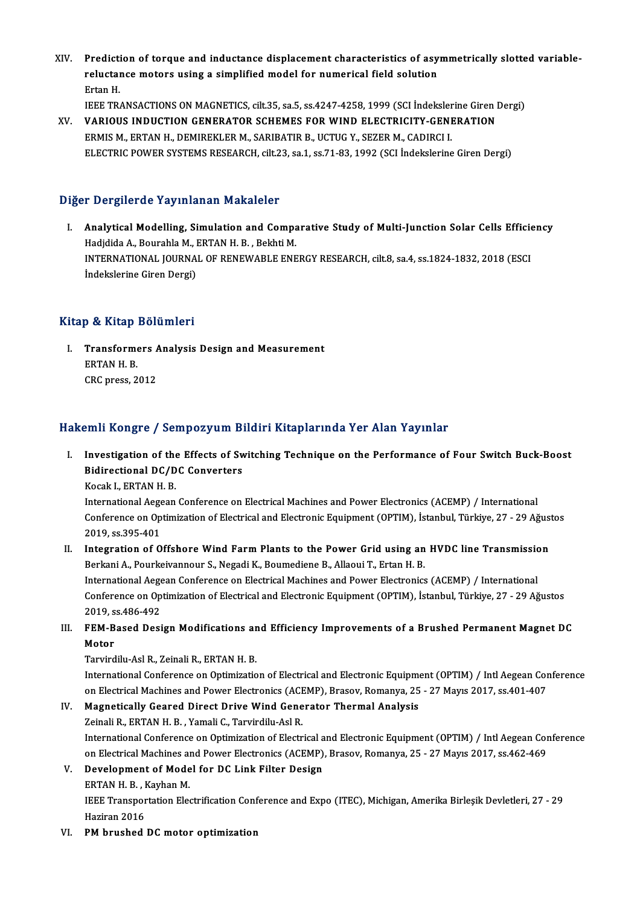XIV. Prediction of torque and inductance displacement characteristics of asymmetrically slotted variable-<br>Relustance motors using a simplified model for numerical field solution Prediction of torque and inductance displacement characteristics of asy<br>reluctance motors using a simplified model for numerical field solution<br>Frton H Predicti<br>reluctal<br>Ertan H.<br>IEEE TR reluctance motors using a simplified model for numerical field solution<br>Ertan H.<br>IEEE TRANSACTIONS ON MAGNETICS, cilt.35, sa.5, ss.4247-4258, 1999 (SCI İndekslerine Giren Dergi)<br>VARIOUS INDUCTION CENERATOR SCHEMES FOR WIND

Ertan H.<br>IEEE TRANSACTIONS ON MAGNETICS, cilt.35, sa.5, ss.4247-4258, 1999 (SCI Indekslerine Giren I<br>XV. VARIOUS INDUCTION GENERATOR SCHEMES FOR WIND ELECTRICITY-GENERATION<br>FRAME M. ERTAN H. DEMIREKLER M. SARIRATIR R. UCTU XV. VARIOUS INDUCTION GENERATOR SCHEMES FOR WIND ELECTRICITY-GENERATION<br>ERMIS M., ERTAN H., DEMIREKLER M., SARIBATIR B., UCTUG Y., SEZER M., CADIRCI I. ELECTRIC POWER SYSTEMS RESEARCH, cilt.23, sa.1, ss.71-83, 1992 (SCI İndekslerine Giren Dergi)

#### Diğer Dergilerde Yayınlanan Makaleler

Iger Dergilerde Yayınlanan Makaleler<br>I. Analytical Modelling, Simulation and Comparative Study of Multi-Junction Solar Cells Efficiency<br>Hodidida A. Pourabla M. ERTAN H. B. Politi M. Hadjdida A., Bourahlam. Handreich<br>Analytical Modelling, Simulation and Compa<br>Hadjdida A., Bourahla M., ERTAN H. B. , Bekhti M.<br>INTERNATIONAL IQUENAL OF BENEWARLE ENE Analytical Modelling, Simulation and Comparative Study of Multi-Junction Solar Cells Efficion<br>Hadjdida A., Bourahla M., ERTAN H. B. , Bekhti M.<br>INTERNATIONAL JOURNAL OF RENEWABLE ENERGY RESEARCH, cilt.8, sa.4, ss.1824-1832 Hadjdida A., Bourahla M., ERTAN H. B. , Bekhti M.<br>INTERNATIONAL JOURNAL OF RENEWABLE ENERGY RESEARCH, cilt.8, sa.4, ss.1824-1832, 2018 (ESCI<br>İndekslerine Giren Dergi)

#### Kitap & Kitap Bölümleri

I. Transformers Analysis Design and Measurement Fransforme<br>ERTAN H. B.<br>CPC pross 2 Transformers *F*<br>ERTAN H. B.<br>CRC press, 2012

# CRC press, 2012<br>Hakemli Kongre / Sempozyum Bildiri Kitaplarında Yer Alan Yayınlar

akemli Kongre / Sempozyum Bildiri Kitaplarında Yer Alan Yayınlar<br>I. Investigation of the Effects of Switching Technique on the Performance of Four Switch Buck-Boost Investigation of the Effects of Sw<br>Bidirectional DC/DC Converters<br>Kosak L EPTAN H B Investigation of the<br>Bidirectional DC/D<br>Kocak I., ERTAN H. B.<br>International Aggeen

Bidirectional DC/DC Converters<br>Kocak I., ERTAN H. B.<br>International Aegean Conference on Electrical Machines and Power Electronics (ACEMP) / International<br>Conference on Ontimization of Electrical and Electronic Faujament (O Kocak I., ERTAN H. B.<br>International Aegean Conference on Electrical Machines and Power Electronics (ACEMP) / International<br>Conference on Optimization of Electrical and Electronic Equipment (OPTIM), İstanbul, Türkiye, 27 - International Aege<br>Conference on Op<br>2019, ss.395-401<br>Integration of O Conference on Optimization of Electrical and Electronic Equipment (OPTIM), İstanbul, Türkiye, 27 - 29 Ağus<br>2019, ss.395-401<br>II. Integration of Offshore Wind Farm Plants to the Power Grid using an HVDC line Transmission<br>Ber

#### 2019, ss.395-401<br>Integration of Offshore Wind Farm Plants to the Power Grid using an<br>Berkani A., Pourkeivannour S., Negadi K., Boumediene B., Allaoui T., Ertan H. B.<br>International Aegeen Conference on Electrical Machines a Berkani A., Pourkeivannour S., Negadi K., Boumediene B., Allaoui T., Ertan H. B.<br>International Aegean Conference on Electrical Machines and Power Electronics (ACEMP) / International Berkani A., Pourkeivannour S., Negadi K., Boumediene B., Allaoui T., Ertan H. B.<br>International Aegean Conference on Electrical Machines and Power Electronics (ACEMP) / International<br>Conference on Optimization of Electrical International Aege<br>Conference on Op<br>2019, ss.486-492<br>EEM Pased Desi Conference on Optimization of Electrical and Electronic Equipment (OPTIM), İstanbul, Türkiye, 27 - 29 Ağustos<br>2019, ss.486-492<br>III. FEM-Based Design Modifications and Efficiency Improvements of a Brushed Permanent Magnet D

### 2019, s<br>FEM-B<br>Motor<br>Tarvird FEM-Based Design Modifications ar<br>Motor<br>Tarvirdilu-Asl R., Zeinali R., ERTAN H. B.<br>International Conference on Ontimiratio

Motor<br>Tarvirdilu-Asl R., Zeinali R., ERTAN H. B.<br>International Conference on Optimization of Electrical and Electronic Equipment (OPTIM) / Intl Aegean Conference<br>on Electrical Machines and Power Electronics (ACEMP), Presey Tarvirdilu-Asl R., Zeinali R., ERTAN H. B.<br>International Conference on Optimization of Electrical and Electronic Equipment (OPTIM) / Intl Aegean Cor<br>On Electrical Machines and Power Electronics (ACEMP), Brasov, Romanya, 25 International Conference on Optimization of Electrical and Electronic Equipm<br>on Electrical Machines and Power Electronics (ACEMP), Brasov, Romanya, 25<br>IV. Magnetically Geared Direct Drive Wind Generator Thermal Analysis<br>Za on Electrical Machines and Power Electronics (ACEMP), Brasov, Romanya, 25 - 27 Mayıs 2017, ss.401-407<br>IV. Magnetically Geared Direct Drive Wind Generator Thermal Analysis<br>Zeinali R., ERTAN H. B. , Yamali C., Tarvirdilu-Asl

Magnetically Geared Direct Drive Wind Generator Thermal Analysis<br>Zeinali R., ERTAN H. B. , Yamali C., Tarvirdilu-Asl R.<br>International Conference on Optimization of Electrical and Electronic Equipment (OPTIM) / Intl Aegean Zeinali R., ERTAN H. B. , Yamali C., Tarvirdilu-Asl R.<br>International Conference on Optimization of Electrical and Electronic Equipment (OPTIM) / Intl Aegean Cor<br>on Electrical Machines and Power Electronics (ACEMP), Brasov, International Conference on Optimization of Electrical a<br>on Electrical Machines and Power Electronics (ACEMP)<br>V. Development of Model for DC Link Filter Design<br>EPTAN H B Kayban M on Electrical Machines an<br>Development of Mode<br>ERTAN H. B. , Kayhan M.<br>IEEE Transportation Elec

ERTAN H. B., Kayhan M.

IEEE Transportation Electrification Conference and Expo (ITEC), Michigan, Amerika Birleşik Devletleri, 27 - 29<br>Haziran 2016

VI. PM brushed DC motor optimization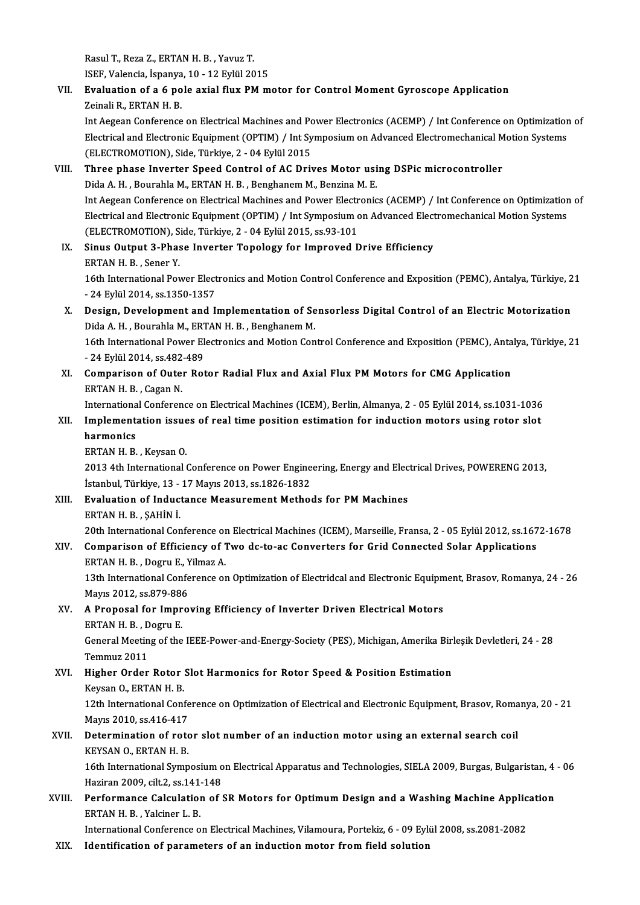Rasul T., Reza Z., ERTAN H. B. , Yavuz T.<br>ISEE Valencia Japanya 10, 12 Erlül 20 Rasul T., Reza Z., ERTAN H. B. , Yavuz T.<br>ISEF, Valencia, İspanya, 10 - 12 Eylül 2015<br>Evaluation of a 6 nolo avial fluv PM m

### Rasul T., Reza Z., ERTAN H. B. , Yavuz T.<br>ISEF, Valencia, İspanya, 10 - 12 Eylül 2015<br>VII. Evaluation of a 6 pole axial flux PM motor for Control Moment Gyroscope Application<br>Zeineli B. ERTAN H. B ISEF, Valencia, İspanya<br>**Evaluation of a 6 po**<br>Zeinali R., ERTAN H. B.<br>Int Asseen Cenferense Evaluation of a 6 pole axial flux PM motor for Control Moment Gyroscope Application<br>Zeinali R., ERTAN H. B.<br>Int Aegean Conference on Electrical Machines and Power Electronics (ACEMP) / Int Conference on Optimization of<br>Ele

Zeinali R., ERTAN H. B.<br>Int Aegean Conference on Electrical Machines and Power Electronics (ACEMP) / Int Conference on Optimization<br>Electrical and Electronic Equipment (OPTIM) / Int Symposium on Advanced Electromechanical Int Aegean Conference on Electrical Machines and Polectrical and Electronic Equipment (OPTIM) / Int Sy<br>(ELECTROMOTION), Side, Türkiye, 2 - 04 Eylül 2015<br>Three phase Invester Speed Control of AC Driv Electrical and Electronic Equipment (OPTIM) / Int Symposium on Advanced Electromechanical M<br>(ELECTROMOTION), Side, Türkiye, 2 - 04 Eylül 2015<br>VIII. Three phase Inverter Speed Control of AC Drives Motor using DSPic microcon

#### (ELECTROMOTION), Side, Türkiye, 2 - 04 Eylül 2015<br>Three phase Inverter Speed Control of AC Drives Motor usi<br>Dida A. H. , Bourahla M., ERTAN H. B. , Benghanem M., Benzina M. E.<br>Int Aegeen Conference on Electrical Machines a Three phase Inverter Speed Control of AC Drives Motor using DSPic microcontroller<br>Dida A. H. , Bourahla M., ERTAN H. B. , Benghanem M., Benzina M. E.<br>Int Aegean Conference on Electrical Machines and Power Electronics (ACEM Dida A. H. , Bourahla M., ERTAN H. B. , Benghanem M., Benzina M. E.<br>Int Aegean Conference on Electrical Machines and Power Electronics (ACEMP) / Int Conference on Optimization<br>Electrical and Electronic Equipment (OPTIM) / Int Aegean Conference on Electrical Machines and Power Electr<br>Electrical and Electronic Equipment (OPTIM) / Int Symposium of<br>(ELECTROMOTION), Side, Türkiye, 2 - 04 Eylül 2015, ss.93-101<br>Sinus Qutput 3, Phase Investor Tanal Electrical and Electronic Equipment (OPTIM) / Int Symposium on Advanced Elect<br>(ELECTROMOTION), Side, Türkiye, 2 - 04 Eylül 2015, ss.93-101<br>IX. Sinus Output 3-Phase Inverter Topology for Improved Drive Efficiency<br>EPTAN H B

(ELECTROMOTION), S<br>Sinus Output 3-Phas<br>ERTAN H. B., Sener Y. Sinus Output 3-Phase Inverter Topology for Improved Drive Efficiency<br>ERTAN H. B. , Sener Y.<br>16th International Power Electronics and Motion Control Conference and Exposition (PEMC), Antalya, Türkiye, 21<br>24 Erlül 2014, 38,1 ERTAN H. B. , Sener Y.<br>16th International Power Elect<br>- 24 Eylül 2014, ss.1350-1357<br>Design, Develenment and J

### 16th International Power Electronics and Motion Control Conference and Exposition (PEMC), Antalya, Türkiye, 2<br>24 Eylül 2014, ss.1350-1357<br>X. Design, Development and Implementation of Sensorless Digital Control of an Electr - 24 Eylül 2014, ss.1350-1357<br>Design, Development and Implementation of Se<br>Dida A. H. , Bourahla M., ERTAN H. B. , Benghanem M.<br>16th International Devrey Electronics and Metion Con Design, Development and Implementation of Sensorless Digital Control of an Electric Motorization<br>Dida A. H. , Bourahla M., ERTAN H. B. , Benghanem M.<br>16th International Power Electronics and Motion Control Conference and E

Dida A. H. , Bourahla M., ERT<br>16th International Power El<br>- 24 Eylül 2014, ss.482-489<br>Comparison of Outor Pot 16th International Power Electronics and Motion Control Conference and Exposition (PEMC), Anta<br>- 24 Eylül 2014, ss.482-489<br>XI. Comparison of Outer Rotor Radial Flux and Axial Flux PM Motors for CMG Application<br>EPTAN H B CR

- 24 Eylül 2014, ss.482-489<br>XI. Comparison of Outer Rotor Radial Flux and Axial Flux PM Motors for CMG Application<br>ERTAN H. B., Cagan N. Comparison of Outer Rotor Radial Flux and Axial Flux PM Motors for CMG Application<br>ERTAN H. B. , Cagan N.<br>International Conference on Electrical Machines (ICEM), Berlin, Almanya, 2 - 05 Eylül 2014, ss.1031-1036<br>Implementat

#### ERTAN H. B. , Cagan N.<br>International Conference on Electrical Machines (ICEM), Berlin, Almanya, 2 - 05 Eylül 2014, ss.1031-1036<br>XII. Implementation issues of real time position estimation for induction motors using rotor s Internationa<br>I<mark>mplement:</mark><br>harmonics<br>EPTAN H P XII. Implementation issues of real time position estimation for induction motors using rotor slot<br>harmonics<br>ERTAN H. B., Keysan O.

harmonics<br>ERTAN H. B. , Keysan O.<br>2013 4th International Conference on Power Engineering, Energy and Electrical Drives, POWERENG 2013,<br>Istanbul Türkiya 13, 17 Mayıs 2013, ss.1926,1922 ERTAN H. B. , Keysan O.<br>2013 4th International Conference on Power Engine<br>İstanbul, Türkiye, 13 - 17 Mayıs 2013, ss.1826-1832<br>Fyalustian of Industance Measurement Metho 2013 4th International Conference on Power Engineering, Energy and Elec<br>İstanbul, Türkiye, 13 - 17 Mayıs 2013, ss.1826-1832<br>XIII. Evaluation of Inductance Measurement Methods for PM Machines

İstanbul, Türkiye, 13<br>**Evaluation of Induc**<br>ERTAN H. B. , ŞAHİN İ.<br>20th International Con 20th InternationalConference onElectricalMachines (ICEM),Marseile,Fransa,2 -05Eylül2012, ss.1672-1678

### ERTAN H. B. , ȘAHİN İ.<br>20th International Conference on Electrical Machines (ICEM), Marseille, Fransa, 2 - 05 Eylül 2012, ss.167<br>20th International Conferency of Two dc-to-ac Converters for Grid Connected Solar Application 20th International Conference of<br>**Comparison of Efficiency of** 1<br>ERTAN H. B., Dogru E., Yilmaz A. Comparison of Efficiency of Two dc-to-ac Converters for Grid Connected Solar Applications<br>ERTAN H. B. , Dogru E., Yilmaz A.<br>13th International Conference on Optimization of Electridcal and Electronic Equipment, Brasov, Rom

ERTAN H. B. , Dogru E., Y<br>13th International Confe<br>Mayıs 2012, ss.879-886<br>A Branceal for Impre Mayıs 2012, ss 879-886

#### XV. A Proposal for Improving Efficiency of Inverter Driven Electrical Motors<br>ERTAN H. B., Dogru E.

A Proposal for Improving Efficiency of Inverter Driven Electrical Motors<br>ERTAN H. B. , Dogru E.<br>General Meeting of the IEEE-Power-and-Energy-Society (PES), Michigan, Amerika Birleşik Devletleri, 24 - 28<br>Temmuz 2011 ERTAN H. B. , D<br>General Meetin<br>Temmuz 2011<br>Higher Order General Meeting of the IEEE-Power-and-Energy-Society (PES), Michigan, Amerika Birl<br>Temmuz 2011<br>XVI. Higher Order Rotor Slot Harmonics for Rotor Speed & Position Estimation<br>Kaysan O, EBTAN H, B

## Temmuz 2011<br>XVI. Higher Order Rotor Slot Harmonics for Rotor Speed & Position Estimation<br>Keysan O., ERTAN H. B.

Higher Order Rotor Slot Harmonics for Rotor Speed & Position Estimation<br>Keysan O., ERTAN H. B.<br>12th International Conference on Optimization of Electrical and Electronic Equipment, Brasov, Romanya, 20 - 21<br>Mayrs 2010, ss 4 Keysan O., ERTAN H. B.<br>12th International Confe<br>Mayıs 2010, ss.416-417<br>Determination of nate 12th International Conference on Optimization of Electrical and Electronic Equipment, Brasov, Roma<br>Mayıs 2010, ss.416-417<br>XVII. Determination of rotor slot number of an induction motor using an external search coil<br>VEVSAN

### Mayıs 2010, ss.416-417<br>XVII. Determination of rotor slot number of an induction motor using an external search coil<br>KEYSAN O., ERTAN H. B. 16th Internation of rotor slot number of an induction motor using an external search coil<br>2016 KEYSAN O., ERTAN H. B.<br>16th International Symposium on Electrical Apparatus and Technologies, SIELA 2009, Burgas, Bulgaristan,

KEYSAN O., ERTAN H. B.<br>16th International Symposium o<br>Haziran 2009, cilt.2, ss.141-148<br>Performanee Galaulation of t 16th International Symposium on Electrical Apparatus and Technologies, SIELA 2009, Burgas, Bulgaristan, 4<br>Haziran 2009, cilt.2, ss.141-148<br>XVIII. Performance Calculation of SR Motors for Optimum Design and a Washing Machin

### Haziran 2009, cilt.2, ss.141<br>Performance Calculation<br>ERTAN H. B. , Yalciner L. B.<br>International Conference e Performance Calculation of SR Motors for Optimum Design and a Washing Machine Applic<br>ERTAN H. B., Yalciner L. B.<br>International Conference on Electrical Machines, Vilamoura, Portekiz, 6 - 09 Eylül 2008, ss.2081-2082<br>Identif

ERTAN H. B. , Yalciner L. B.<br>International Conference on Electrical Machines, Vilamoura, Portekiz, 6 - 09 Eylül 2008, ss.2081-2082<br>XIX. Identification of parameters of an induction motor from field solution